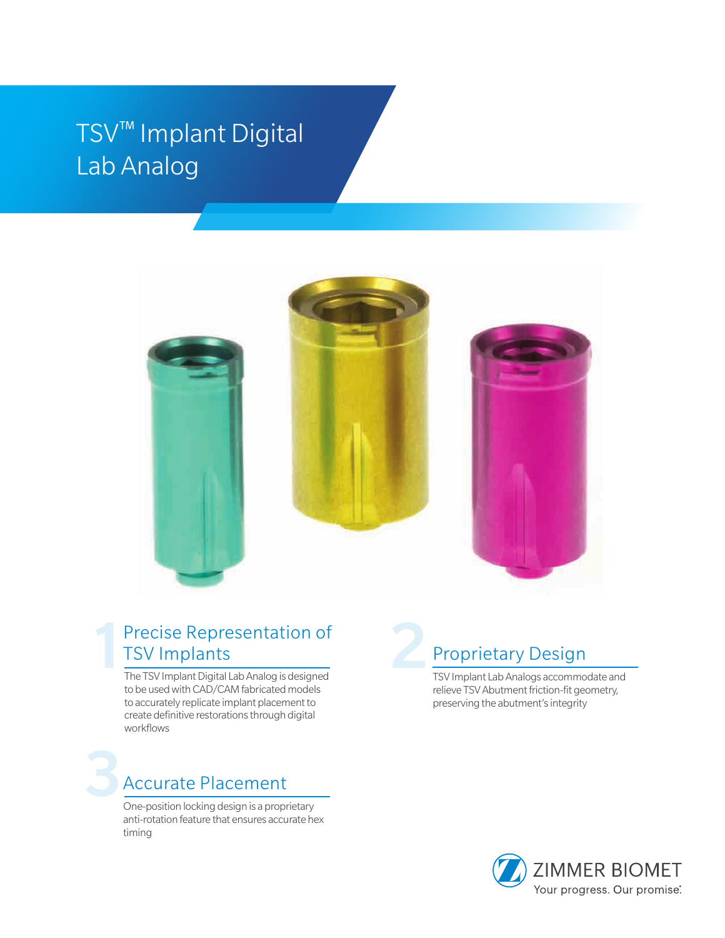## TSV™ Implant Digital Lab Analog



### 1 Precise Representation of TSV Implants

The TSV Implant Digital Lab Analog is designed to be used with CAD/CAM fabricated models to accurately replicate implant placement to create definitive restorations through digital workflows

# Accurate Placement

One-position locking design is a proprietary anti-rotation feature that ensures accurate hex timing

## Proprietary Design

TSV Implant Lab Analogs accommodate and relieve TSV Abutment friction-fit geometry, preserving the abutment's integrity